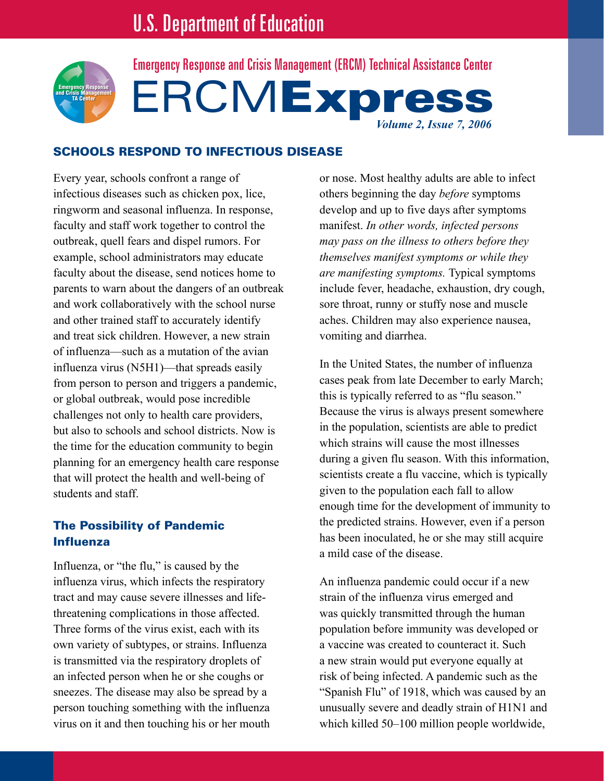

**ERCMExpress** *Volume 2, Issue 7, 2006* Emergency Response and Crisis Management (ERCM) Technical Assistance Center

## Schools Respond to Infectious Disease

Every year, schools confront a range of infectious diseases such as chicken pox, lice, ringworm and seasonal influenza. In response, faculty and staff work together to control the outbreak, quell fears and dispel rumors. For example, school administrators may educate faculty about the disease, send notices home to parents to warn about the dangers of an outbreak and work collaboratively with the school nurse and other trained staff to accurately identify and treat sick children. However, a new strain of influenza—such as a mutation of the avian influenza virus (N5H1)—that spreads easily from person to person and triggers a pandemic, or global outbreak, would pose incredible challenges not only to health care providers, but also to schools and school districts. Now is the time for the education community to begin planning for an emergency health care response that will protect the health and well-being of students and staff.

## The Possibility of Pandemic Influenza

Influenza, or "the flu," is caused by the influenza virus, which infects the respiratory tract and may cause severe illnesses and lifethreatening complications in those affected. Three forms of the virus exist, each with its own variety of subtypes, or strains. Influenza is transmitted via the respiratory droplets of an infected person when he or she coughs or sneezes. The disease may also be spread by a person touching something with the influenza virus on it and then touching his or her mouth or nose. Most healthy adults are able to infect others beginning the day *before* symptoms develop and up to five days after symptoms manifest. *In other words, infected persons may pass on the illness to others before they themselves manifest symptoms or while they are manifesting symptoms.* Typical symptoms include fever, headache, exhaustion, dry cough, sore throat, runny or stuffy nose and muscle aches. Children may also experience nausea, vomiting and diarrhea.

In the United States, the number of influenza cases peak from late December to early March; this is typically referred to as "flu season." Because the virus is always present somewhere in the population, scientists are able to predict which strains will cause the most illnesses during a given flu season. With this information, scientists create a flu vaccine, which is typically given to the population each fall to allow enough time for the development of immunity to the predicted strains. However, even if a person has been inoculated, he or she may still acquire a mild case of the disease.

An influenza pandemic could occur if a new strain of the influenza virus emerged and was quickly transmitted through the human population before immunity was developed or a vaccine was created to counteract it. Such a new strain would put everyone equally at risk of being infected. A pandemic such as the "Spanish Flu" of 1918, which was caused by an unusually severe and deadly strain of H1N1 and which killed 50–100 million people worldwide,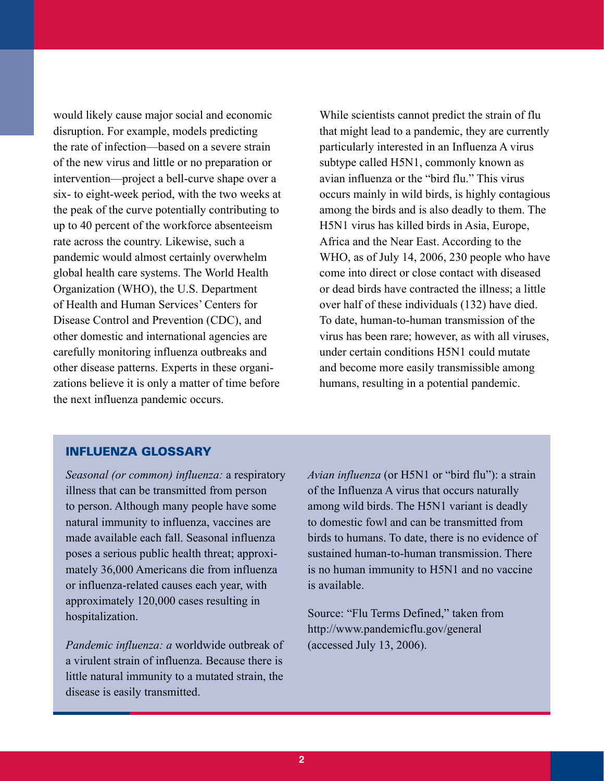would likely cause major social and economic disruption. For example, models predicting the rate of infection—based on a severe strain of the new virus and little or no preparation or intervention—project a bell-curve shape over a six- to eight-week period, with the two weeks at the peak of the curve potentially contributing to up to 40 percent of the workforce absenteeism rate across the country. Likewise, such a pandemic would almost certainly overwhelm global health care systems. The World Health Organization (WHO), the U.S. Department of Health and Human Services' Centers for Disease Control and Prevention (CDC), and other domestic and international agencies are carefully monitoring influenza outbreaks and other disease patterns. Experts in these organizations believe it is only a matter of time before the next influenza pandemic occurs.

While scientists cannot predict the strain of flu that might lead to a pandemic, they are currently particularly interested in an Influenza A virus subtype called H5N1, commonly known as avian influenza or the "bird flu." This virus occurs mainly in wild birds, is highly contagious among the birds and is also deadly to them. The H5N1 virus has killed birds in Asia, Europe, Africa and the Near East. According to the WHO, as of July 14, 2006, 230 people who have come into direct or close contact with diseased or dead birds have contracted the illness; a little over half of these individuals (132) have died. To date, human-to-human transmission of the virus has been rare; however, as with all viruses, under certain conditions H5N1 could mutate and become more easily transmissible among humans, resulting in a potential pandemic.

#### Influenza Glossary

*Seasonal (or common) influenza:* a respiratory illness that can be transmitted from person to person. Although many people have some natural immunity to influenza, vaccines are made available each fall. Seasonal influenza poses a serious public health threat; approximately 36,000 Americans die from influenza or influenza-related causes each year, with approximately 120,000 cases resulting in hospitalization.

*Pandemic influenza: a* worldwide outbreak of a virulent strain of influenza. Because there is little natural immunity to a mutated strain, the disease is easily transmitted.

*Avian influenza* (or H5N1 or "bird flu"): a strain of the Influenza A virus that occurs naturally among wild birds. The H5N1 variant is deadly to domestic fowl and can be transmitted from birds to humans. To date, there is no evidence of sustained human-to-human transmission. There is no human immunity to H5N1 and no vaccine is available.

Source: "Flu Terms Defined," taken from http://www.pandemicflu.gov/general (accessed July 13, 2006).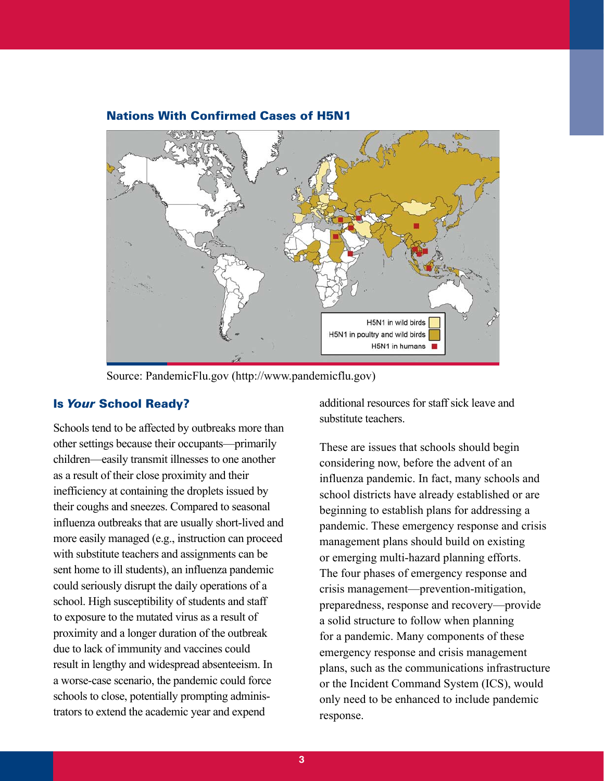

### Nations With Confirmed Cases of H5N1

Source: PandemicFlu.gov (http://www.pandemicflu.gov)

#### Is *Your* School Ready?

Schools tend to be affected by outbreaks more than other settings because their occupants—primarily children—easily transmit illnesses to one another as a result of their close proximity and their inefficiency at containing the droplets issued by their coughs and sneezes. Compared to seasonal influenza outbreaks that are usually short-lived and more easily managed (e.g., instruction can proceed with substitute teachers and assignments can be sent home to ill students), an influenza pandemic could seriously disrupt the daily operations of a school. High susceptibility of students and staff to exposure to the mutated virus as a result of proximity and a longer duration of the outbreak due to lack of immunity and vaccines could result in lengthy and widespread absenteeism. In a worse-case scenario, the pandemic could force schools to close, potentially prompting administrators to extend the academic year and expend

additional resources for staff sick leave and substitute teachers.

These are issues that schools should begin considering now, before the advent of an influenza pandemic. In fact, many schools and school districts have already established or are beginning to establish plans for addressing a pandemic. These emergency response and crisis management plans should build on existing or emerging multi-hazard planning efforts. The four phases of emergency response and crisis management—prevention-mitigation, preparedness, response and recovery—provide a solid structure to follow when planning for a pandemic. Many components of these emergency response and crisis management plans, such as the communications infrastructure or the Incident Command System (ICS), would only need to be enhanced to include pandemic response.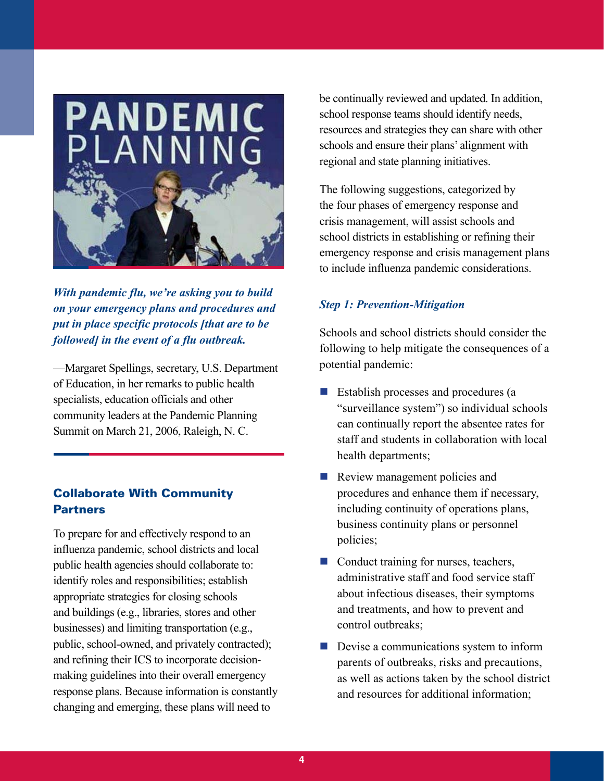

*With pandemic flu, we're asking you to build on your emergency plans and procedures and put in place specific protocols [that are to be followed] in the event of a flu outbreak.*

—Margaret Spellings, secretary, U.S. Department of Education, in her remarks to public health specialists, education officials and other community leaders at the Pandemic Planning Summit on March 21, 2006, Raleigh, N. C.

# Collaborate With Community **Partners**

To prepare for and effectively respond to an influenza pandemic, school districts and local public health agencies should collaborate to: identify roles and responsibilities; establish appropriate strategies for closing schools and buildings (e.g., libraries, stores and other businesses) and limiting transportation (e.g., public, school-owned, and privately contracted); and refining their ICS to incorporate decisionmaking guidelines into their overall emergency response plans. Because information is constantly changing and emerging, these plans will need to

be continually reviewed and updated. In addition, school response teams should identify needs, resources and strategies they can share with other schools and ensure their plans' alignment with regional and state planning initiatives.

The following suggestions, categorized by the four phases of emergency response and crisis management, will assist schools and school districts in establishing or refining their emergency response and crisis management plans to include influenza pandemic considerations.

## *Step 1: Prevention-Mitigation*

Schools and school districts should consider the following to help mitigate the consequences of a potential pandemic:

- **Establish processes and procedures (a** "surveillance system") so individual schools can continually report the absentee rates for staff and students in collaboration with local health departments;
- Review management policies and procedures and enhance them if necessary, including continuity of operations plans, business continuity plans or personnel policies;  $\overline{\phantom{a}}$
- Conduct training for nurses, teachers, administrative staff and food service staff about infectious diseases, their symptoms and treatments, and how to prevent and control outbreaks;
- **Devise a communications system to inform** parents of outbreaks, risks and precautions, as well as actions taken by the school district and resources for additional information;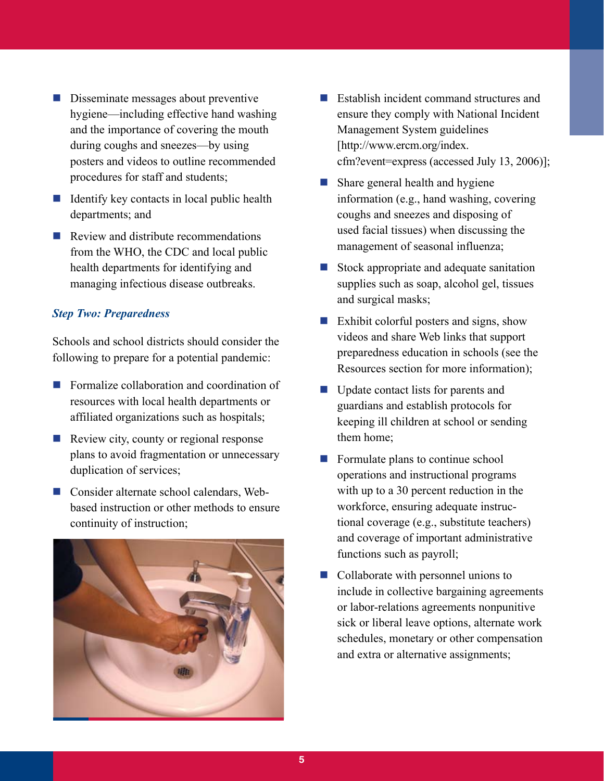- Disseminate messages about preventive hygiene—including effective hand washing and the importance of covering the mouth during coughs and sneezes—by using posters and videos to outline recommended procedures for staff and students;
- $\blacksquare$  Identify key contacts in local public health departments; and
- Review and distribute recommendations from the WHO, the CDC and local public health departments for identifying and managing infectious disease outbreaks.

## *Step Two: Preparedness*

Schools and school districts should consider the following to prepare for a potential pandemic:

- **Formalize collaboration and coordination of** resources with local health departments or affiliated organizations such as hospitals;
- Review city, county or regional response plans to avoid fragmentation or unnecessary duplication of services;
- Consider alternate school calendars, Webbased instruction or other methods to ensure continuity of instruction;



- **Establish incident command structures and** ensure they comply with National Incident Management System guidelines [http://www.ercm.org/index. cfm?event=express (accessed July 13, 2006)];
- **Share general health and hygiene** information (e.g., hand washing, covering coughs and sneezes and disposing of used facial tissues) when discussing the management of seasonal influenza;
- Stock appropriate and adequate sanitation supplies such as soap, alcohol gel, tissues and surgical masks;  $\mathcal{L}_{\mathcal{A}}$
- **Exhibit colorful posters and signs, show** videos and share Web links that support preparedness education in schools (see the Resources section for more information);
- Update contact lists for parents and guardians and establish protocols for keeping ill children at school or sending them home;
- **Formulate plans to continue school** operations and instructional programs with up to a 30 percent reduction in the workforce, ensuring adequate instructional coverage (e.g., substitute teachers) and coverage of important administrative functions such as payroll;
- Collaborate with personnel unions to include in collective bargaining agreements or labor-relations agreements nonpunitive sick or liberal leave options, alternate work schedules, monetary or other compensation and extra or alternative assignments;  $\overline{\phantom{a}}$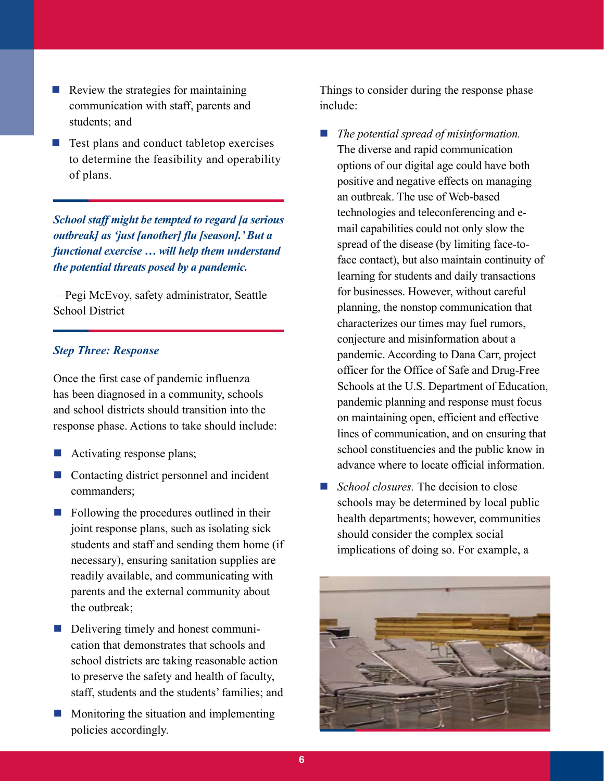- $\blacksquare$  Review the strategies for maintaining communication with staff, parents and students; and
- Test plans and conduct tabletop exercises to determine the feasibility and operability of plans.  $\mathcal{C}_\mathcal{A}$

*School staff might be tempted to regard [a serious outbreak] as 'just [another] flu [season].' But a functional exercise … will help them understand the potential threats posed by a pandemic.*

—Pegi McEvoy, safety administrator, Seattle School District

#### *Step Three: Response*

Once the first case of pandemic influenza has been diagnosed in a community, schools and school districts should transition into the response phase. Actions to take should include:

- **Activating response plans;**
- Contacting district personnel and incident commanders;
- **Following the procedures outlined in their** joint response plans, such as isolating sick students and staff and sending them home (if necessary), ensuring sanitation supplies are readily available, and communicating with parents and the external community about the outbreak;
- Delivering timely and honest communication that demonstrates that schools and school districts are taking reasonable action to preserve the safety and health of faculty, staff, students and the students' families; and
- **Monitoring the situation and implementing** policies accordingly.

Things to consider during the response phase include:

- *The potential spread of misinformation.*  The diverse and rapid communication options of our digital age could have both positive and negative effects on managing an outbreak. The use of Web-based technologies and teleconferencing and email capabilities could not only slow the spread of the disease (by limiting face-toface contact), but also maintain continuity of learning for students and daily transactions for businesses. However, without careful planning, the nonstop communication that characterizes our times may fuel rumors, conjecture and misinformation about a pandemic. According to Dana Carr, project officer for the Office of Safe and Drug-Free Schools at the U.S. Department of Education, pandemic planning and response must focus on maintaining open, efficient and effective lines of communication, and on ensuring that school constituencies and the public know in advance where to locate official information.  $\mathcal{L}_{\mathcal{A}}$
- *School closures.* The decision to close schools may be determined by local public health departments; however, communities should consider the complex social implications of doing so. For example, a  $\sim 10$

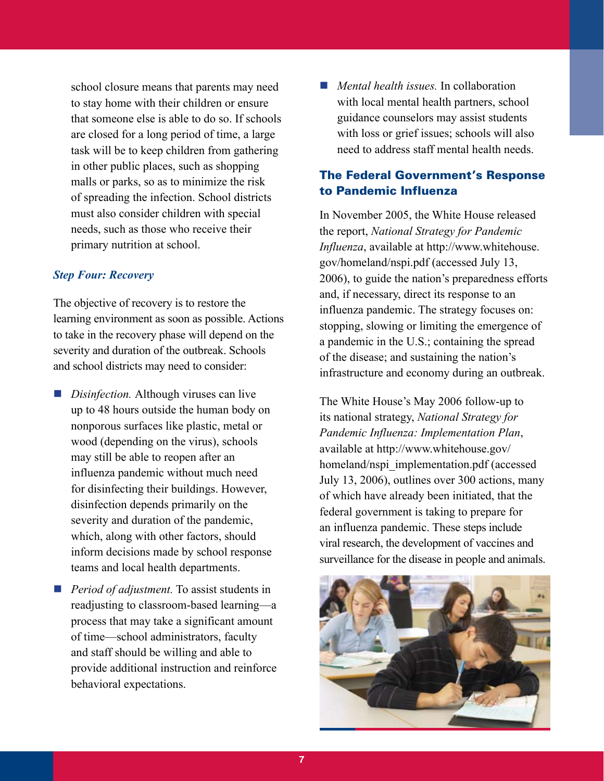school closure means that parents may need to stay home with their children or ensure that someone else is able to do so. If schools are closed for a long period of time, a large task will be to keep children from gathering in other public places, such as shopping malls or parks, so as to minimize the risk of spreading the infection. School districts must also consider children with special needs, such as those who receive their primary nutrition at school.

#### *Step Four: Recovery*

The objective of recovery is to restore the learning environment as soon as possible. Actions to take in the recovery phase will depend on the severity and duration of the outbreak. Schools and school districts may need to consider:

- *Disinfection*. Although viruses can live up to 48 hours outside the human body on nonporous surfaces like plastic, metal or wood (depending on the virus), schools may still be able to reopen after an influenza pandemic without much need for disinfecting their buildings. However, disinfection depends primarily on the severity and duration of the pandemic, which, along with other factors, should inform decisions made by school response teams and local health departments.
- *Period of adjustment*. To assist students in readjusting to classroom-based learning—a process that may take a significant amount of time—school administrators, faculty and staff should be willing and able to provide additional instruction and reinforce behavioral expectations.

*Mental health issues.* In collaboration with local mental health partners, school guidance counselors may assist students with loss or grief issues; schools will also need to address staff mental health needs.

## The Federal Government's Response to Pandemic Influenza

In November 2005, the White House released the report, *National Strategy for Pandemic Influenza*, available at http://www.whitehouse. gov/homeland/nspi.pdf (accessed July 13, 2006), to guide the nation's preparedness efforts and, if necessary, direct its response to an influenza pandemic. The strategy focuses on: stopping, slowing or limiting the emergence of a pandemic in the U.S.; containing the spread of the disease; and sustaining the nation's infrastructure and economy during an outbreak.

The White House's May 2006 follow-up to its national strategy, *National Strategy for Pandemic Influenza: Implementation Plan*, available at http://www.whitehouse.gov/ homeland/nspi\_implementation.pdf (accessed July 13, 2006), outlines over 300 actions, many of which have already been initiated, that the federal government is taking to prepare for an influenza pandemic. These steps include viral research, the development of vaccines and surveillance for the disease in people and animals.

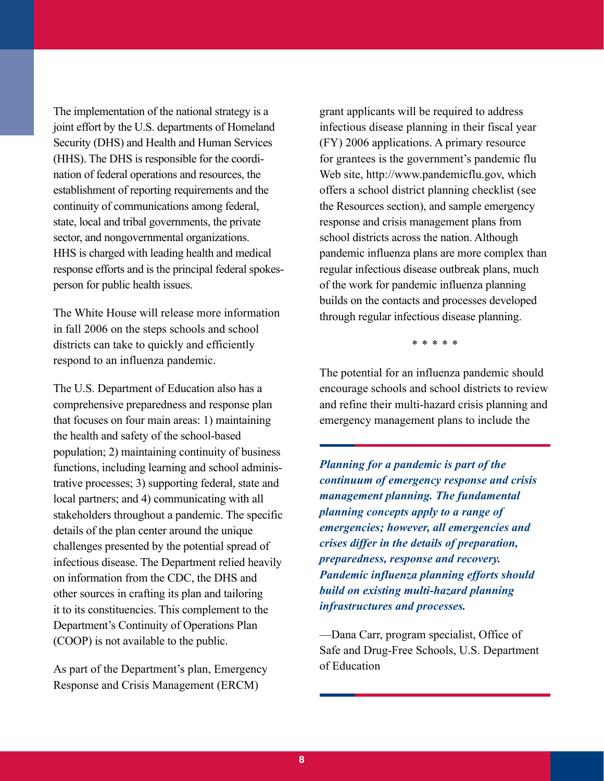The implementation of the national strategy is a joint effort by the U.S. departments of Homeland Security (DHS) and Health and Human Services (HHS). The DHS is responsible for the coordination of federal operations and resources, the establishment of reporting requirements and the continuity of communications among federal, state, local and tribal governments, the private sector, and nongovernmental organizations. HHS is charged with leading health and medical response efforts and is the principal federal spokesperson for public health issues.

The White House will release more information in fall 2006 on the steps schools and school districts can take to quickly and efficiently respond to an influenza pandemic.

The U.S. Department of Education also has a comprehensive preparedness and response plan that focuses on four main areas: 1) maintaining the health and safety of the school-based population; 2) maintaining continuity of business functions, including learning and school administrative processes; 3) supporting federal, state and local partners; and 4) communicating with all stakeholders throughout a pandemic. The specific details of the plan center around the unique challenges presented by the potential spread of infectious disease. The Department relied heavily on information from the CDC, the DHS and other sources in crafting its plan and tailoring it to its constituencies. This complement to the Department's Continuity of Operations Plan (COOP) is not available to the public.

As part of the Department's plan, Emergency Response and Crisis Management (ERCM)

grant applicants will be required to address infectious disease planning in their fiscal year (FY) 2006 applications. A primary resource for grantees is the government's pandemic flu Web site, http://www.pandemicflu.gov, which offers a school district planning checklist (see the Resources section), and sample emergency response and crisis management plans from school districts across the nation. Although pandemic influenza plans are more complex than regular infectious disease outbreak plans, much of the work for pandemic influenza planning builds on the contacts and processes developed through regular infectious disease planning.

\* \* \* \* \*

The potential for an influenza pandemic should encourage schools and school districts to review and refine their multi-hazard crisis planning and emergency management plans to include the

*Planning for a pandemic is part of the continuum of emergency response and crisis management planning. The fundamental planning concepts apply to a range of emergencies; however, all emergencies and crises differ in the details of preparation, preparedness, response and recovery. Pandemic influenza planning efforts should build on existing multi-hazard planning infrastructures and processes.*

—Dana Carr, program specialist, Office of Safe and Drug-Free Schools, U.S. Department of Education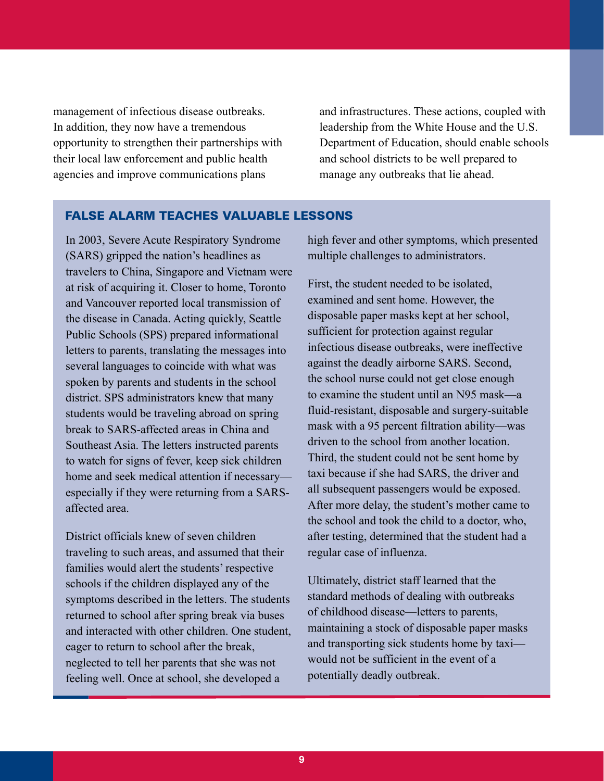management of infectious disease outbreaks. In addition, they now have a tremendous opportunity to strengthen their partnerships with their local law enforcement and public health agencies and improve communications plans

and infrastructures. These actions, coupled with leadership from the White House and the U.S. Department of Education, should enable schools and school districts to be well prepared to manage any outbreaks that lie ahead.

#### False alarm teaches valuable lessons

In 2003, Severe Acute Respiratory Syndrome (SARS) gripped the nation's headlines as travelers to China, Singapore and Vietnam were at risk of acquiring it. Closer to home, Toronto and Vancouver reported local transmission of the disease in Canada. Acting quickly, Seattle Public Schools (SPS) prepared informational letters to parents, translating the messages into several languages to coincide with what was spoken by parents and students in the school district. SPS administrators knew that many students would be traveling abroad on spring break to SARS-affected areas in China and Southeast Asia. The letters instructed parents to watch for signs of fever, keep sick children home and seek medical attention if necessary especially if they were returning from a SARSaffected area.

District officials knew of seven children traveling to such areas, and assumed that their families would alert the students' respective schools if the children displayed any of the symptoms described in the letters. The students returned to school after spring break via buses and interacted with other children. One student, eager to return to school after the break, neglected to tell her parents that she was not feeling well. Once at school, she developed a

high fever and other symptoms, which presented multiple challenges to administrators.

First, the student needed to be isolated, examined and sent home. However, the disposable paper masks kept at her school, sufficient for protection against regular infectious disease outbreaks, were ineffective against the deadly airborne SARS. Second, the school nurse could not get close enough to examine the student until an N95 mask—a fluid-resistant, disposable and surgery-suitable mask with a 95 percent filtration ability—was driven to the school from another location. Third, the student could not be sent home by taxi because if she had SARS, the driver and all subsequent passengers would be exposed. After more delay, the student's mother came to the school and took the child to a doctor, who, after testing, determined that the student had a regular case of influenza.

Ultimately, district staff learned that the standard methods of dealing with outbreaks of childhood disease—letters to parents, maintaining a stock of disposable paper masks and transporting sick students home by taxi would not be sufficient in the event of a potentially deadly outbreak.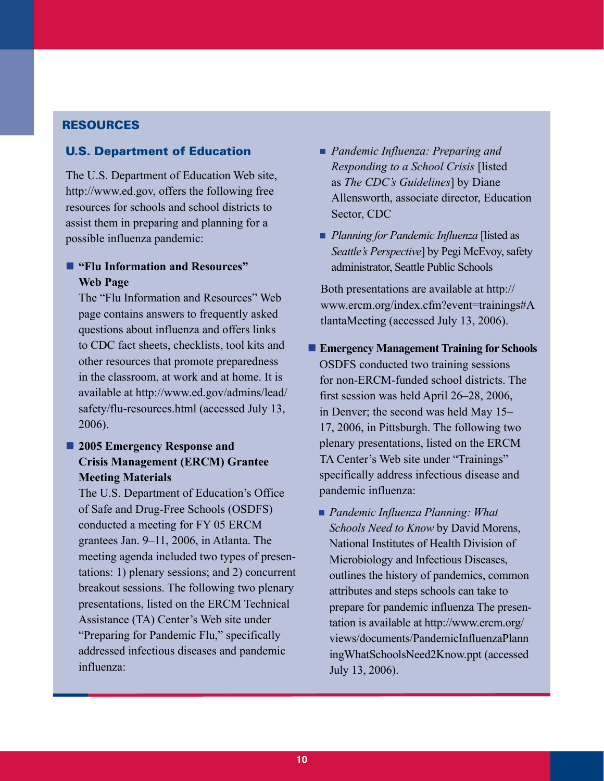## **RESOURCES**

#### U.S. Department of Education

The U.S. Department of Education Web site, http://www.ed.gov, offers the following free resources for schools and school districts to assist them in preparing and planning for a possible influenza pandemic:

## **"Flu Information and Resources" Web Page**

The "Flu Information and Resources" Web page contains answers to frequently asked questions about influenza and offers links to CDC fact sheets, checklists, tool kits and other resources that promote preparedness in the classroom, at work and at home. It is available at http://www.ed.gov/admins/lead/ safety/flu-resources.html (accessed July 13, 2006).

# $2005$  **Emergency Response and Crisis Management (ERCM) Grantee Meeting Materials**

The U.S. Department of Education's Office of Safe and Drug-Free Schools (OSDFS) conducted a meeting for FY 05 ERCM grantees Jan. 9–11, 2006, in Atlanta. The meeting agenda included two types of presentations: 1) plenary sessions; and 2) concurrent breakout sessions. The following two plenary presentations, listed on the ERCM Technical Assistance (TA) Center's Web site under "Preparing for Pandemic Flu," specifically addressed infectious diseases and pandemic influenza:

- *Pandemic Influenza: Preparing and Responding to a School Crisis* [listed as *The CDC's Guidelines*] by Diane Allensworth, associate director, Education Sector, CDC
- **Planning for Pandemic Influenza [listed as** *Seattle's Perspective*] by Pegi McEvoy, safety administrator, Seattle Public Schools

Both presentations are available at http:// www.ercm.org/index.cfm?event=trainings#A tlantaMeeting (accessed July 13, 2006).

- **Emergency Management Training for Schools**  OSDFS conducted two training sessions for non-ERCM-funded school districts. The first session was held April 26–28, 2006, in Denver; the second was held May 15– 17, 2006, in Pittsburgh. The following two plenary presentations, listed on the ERCM TA Center's Web site under "Trainings" specifically address infectious disease and pandemic influenza:
	- *Pandemic Influenza Planning: What Schools Need to Know* by David Morens, National Institutes of Health Division of Microbiology and Infectious Diseases, outlines the history of pandemics, common attributes and steps schools can take to prepare for pandemic influenza The presentation is available at http://www.ercm.org/ views/documents/PandemicInfluenzaPlann ingWhatSchoolsNeed2Know.ppt (accessed July 13, 2006).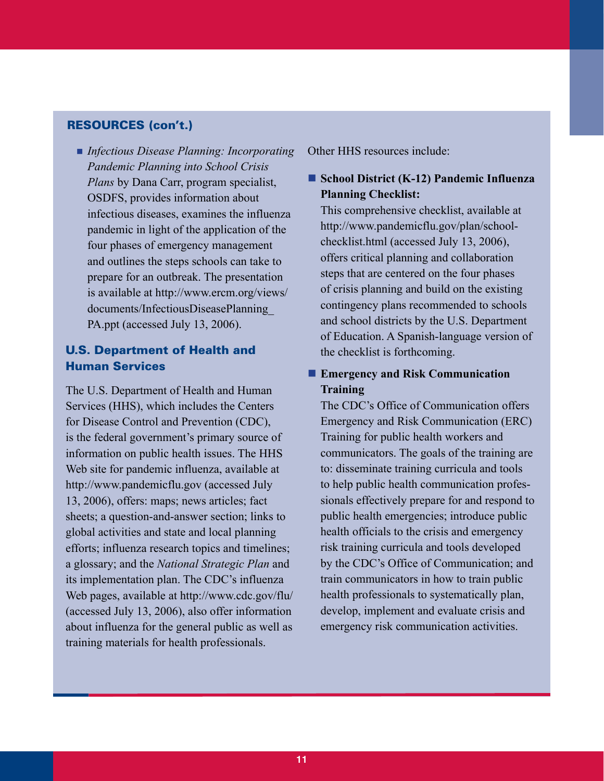### Resources (con't.)

**Infectious Disease Planning: Incorporating** Other HHS resources include: *Pandemic Planning into School Crisis Plans* by Dana Carr, program specialist, OSDFS, provides information about infectious diseases, examines the influenza pandemic in light of the application of the four phases of emergency management and outlines the steps schools can take to prepare for an outbreak. The presentation is available at http://www.ercm.org/views/ documents/InfectiousDiseasePlanning\_ PA.ppt (accessed July 13, 2006).

# U.S. Department of Health and Human Services

The U.S. Department of Health and Human Services (HHS), which includes the Centers for Disease Control and Prevention (CDC), is the federal government's primary source of information on public health issues. The HHS Web site for pandemic influenza, available at http://www.pandemicflu.gov (accessed July 13, 2006), offers: maps; news articles; fact sheets; a question-and-answer section; links to global activities and state and local planning efforts; influenza research topics and timelines; a glossary; and the *National Strategic Plan* and its implementation plan. The CDC's influenza Web pages, available at http://www.cdc.gov/flu/ (accessed July 13, 2006), also offer information about influenza for the general public as well as training materials for health professionals.

# **School District (K-12) Pandemic Influenza Planning Checklist:**

This comprehensive checklist, available at http://www.pandemicflu.gov/plan/schoolchecklist.html (accessed July 13, 2006), offers critical planning and collaboration steps that are centered on the four phases of crisis planning and build on the existing contingency plans recommended to schools and school districts by the U.S. Department of Education. A Spanish-language version of the checklist is forthcoming.

# **Emergency and Risk Communication Training**

The CDC's Office of Communication offers Emergency and Risk Communication (ERC) Training for public health workers and communicators. The goals of the training are to: disseminate training curricula and tools to help public health communication professionals effectively prepare for and respond to public health emergencies; introduce public health officials to the crisis and emergency risk training curricula and tools developed by the CDC's Office of Communication; and train communicators in how to train public health professionals to systematically plan, develop, implement and evaluate crisis and emergency risk communication activities.